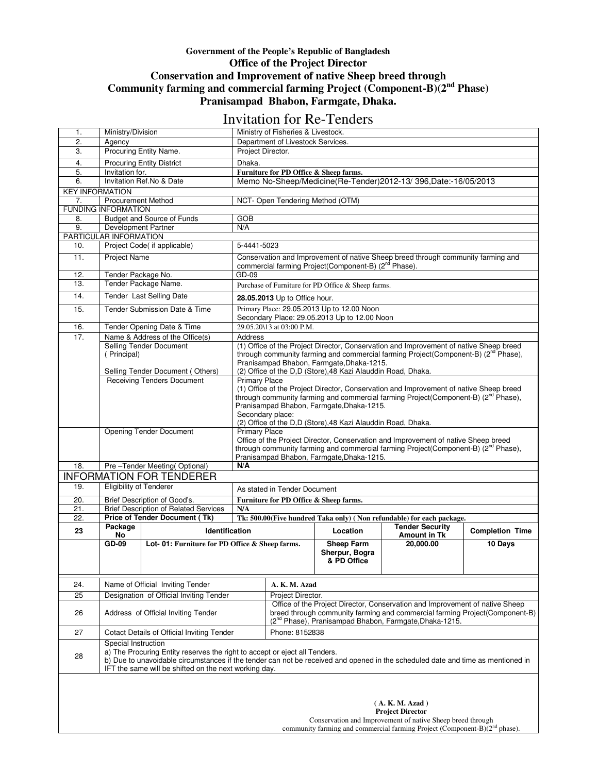## **Government of the People's Republic of Bangladesh Office of the Project Director Conservation and Improvement of native Sheep breed through Community farming and commercial farming Project (Component-B)(2nd Phase) Pranisampad Bhabon, Farmgate, Dhaka.**

## Invitation for Re-Tenders

|                                                                                           |                                                                                                                                                                             |                                                                                                                                 |                                                                                                                | THULOH TOI ISO TOHUOIS                                                                            |                                                                             |                                                                                                 |                        |  |  |  |  |  |
|-------------------------------------------------------------------------------------------|-----------------------------------------------------------------------------------------------------------------------------------------------------------------------------|---------------------------------------------------------------------------------------------------------------------------------|----------------------------------------------------------------------------------------------------------------|---------------------------------------------------------------------------------------------------|-----------------------------------------------------------------------------|-------------------------------------------------------------------------------------------------|------------------------|--|--|--|--|--|
| 1.                                                                                        | Ministry/Division<br>Ministry of Fisheries & Livestock.                                                                                                                     |                                                                                                                                 |                                                                                                                |                                                                                                   |                                                                             |                                                                                                 |                        |  |  |  |  |  |
| 2.                                                                                        | Agency                                                                                                                                                                      |                                                                                                                                 |                                                                                                                | Department of Livestock Services.                                                                 |                                                                             |                                                                                                 |                        |  |  |  |  |  |
| 3.                                                                                        |                                                                                                                                                                             | Procuring Entity Name.                                                                                                          | Project Director.                                                                                              |                                                                                                   |                                                                             |                                                                                                 |                        |  |  |  |  |  |
| 4.                                                                                        |                                                                                                                                                                             | <b>Procuring Entity District</b>                                                                                                | Dhaka.                                                                                                         |                                                                                                   |                                                                             |                                                                                                 |                        |  |  |  |  |  |
| 5.                                                                                        | Invitation for.                                                                                                                                                             |                                                                                                                                 |                                                                                                                | Furniture for PD Office & Sheep farms.                                                            |                                                                             |                                                                                                 |                        |  |  |  |  |  |
| 6.                                                                                        |                                                                                                                                                                             | Invitation Ref.No & Date                                                                                                        |                                                                                                                |                                                                                                   |                                                                             |                                                                                                 |                        |  |  |  |  |  |
| Memo No-Sheep/Medicine(Re-Tender)2012-13/ 396, Date:-16/05/2013<br><b>KEY INFORMATION</b> |                                                                                                                                                                             |                                                                                                                                 |                                                                                                                |                                                                                                   |                                                                             |                                                                                                 |                        |  |  |  |  |  |
| 7.                                                                                        |                                                                                                                                                                             |                                                                                                                                 |                                                                                                                |                                                                                                   |                                                                             |                                                                                                 |                        |  |  |  |  |  |
| <b>Procurement Method</b><br>NCT- Open Tendering Method (OTM)<br>FUNDING INFORMATION      |                                                                                                                                                                             |                                                                                                                                 |                                                                                                                |                                                                                                   |                                                                             |                                                                                                 |                        |  |  |  |  |  |
| 8.                                                                                        |                                                                                                                                                                             | <b>Budget and Source of Funds</b>                                                                                               | GOB                                                                                                            |                                                                                                   |                                                                             |                                                                                                 |                        |  |  |  |  |  |
| 9.                                                                                        | Development Partner                                                                                                                                                         |                                                                                                                                 | N/A                                                                                                            |                                                                                                   |                                                                             |                                                                                                 |                        |  |  |  |  |  |
|                                                                                           | PARTICULAR INFORMATION                                                                                                                                                      |                                                                                                                                 |                                                                                                                |                                                                                                   |                                                                             |                                                                                                 |                        |  |  |  |  |  |
| 10.                                                                                       |                                                                                                                                                                             | Project Code( if applicable)                                                                                                    | 5-4441-5023                                                                                                    |                                                                                                   |                                                                             |                                                                                                 |                        |  |  |  |  |  |
| 11.                                                                                       |                                                                                                                                                                             |                                                                                                                                 |                                                                                                                |                                                                                                   |                                                                             |                                                                                                 |                        |  |  |  |  |  |
|                                                                                           | <b>Project Name</b><br>Conservation and Improvement of native Sheep breed through community farming and<br>commercial farming Project(Component-B) (2 <sup>nd</sup> Phase). |                                                                                                                                 |                                                                                                                |                                                                                                   |                                                                             |                                                                                                 |                        |  |  |  |  |  |
| 12.                                                                                       | Tender Package No.                                                                                                                                                          |                                                                                                                                 |                                                                                                                | GD-09                                                                                             |                                                                             |                                                                                                 |                        |  |  |  |  |  |
| 13.                                                                                       |                                                                                                                                                                             | Tender Package Name.                                                                                                            | Purchase of Furniture for PD Office & Sheep farms.                                                             |                                                                                                   |                                                                             |                                                                                                 |                        |  |  |  |  |  |
|                                                                                           |                                                                                                                                                                             |                                                                                                                                 |                                                                                                                |                                                                                                   |                                                                             |                                                                                                 |                        |  |  |  |  |  |
| 14.                                                                                       | Tender Last Selling Date<br>28.05.2013 Up to Office hour.                                                                                                                   |                                                                                                                                 |                                                                                                                |                                                                                                   |                                                                             |                                                                                                 |                        |  |  |  |  |  |
| 15.                                                                                       |                                                                                                                                                                             | Tender Submission Date & Time                                                                                                   | Primary Place: 29.05.2013 Up to 12.00 Noon<br>Secondary Place: 29.05.2013 Up to 12.00 Noon                     |                                                                                                   |                                                                             |                                                                                                 |                        |  |  |  |  |  |
| 16.                                                                                       |                                                                                                                                                                             | Tender Opening Date & Time                                                                                                      |                                                                                                                | 29.05.20\13 at 03:00 P.M.                                                                         |                                                                             |                                                                                                 |                        |  |  |  |  |  |
| 17.                                                                                       |                                                                                                                                                                             | Name & Address of the Office(s)                                                                                                 | <b>Address</b>                                                                                                 |                                                                                                   |                                                                             |                                                                                                 |                        |  |  |  |  |  |
|                                                                                           |                                                                                                                                                                             | Selling Tender Document                                                                                                         | (1) Office of the Project Director, Conservation and Improvement of native Sheep breed                         |                                                                                                   |                                                                             |                                                                                                 |                        |  |  |  |  |  |
|                                                                                           | (Principal)                                                                                                                                                                 |                                                                                                                                 | through community farming and commercial farming Project(Component-B) (2 <sup>nd</sup> Phase),                 |                                                                                                   |                                                                             |                                                                                                 |                        |  |  |  |  |  |
|                                                                                           |                                                                                                                                                                             |                                                                                                                                 | Pranisampad Bhabon, Farmgate, Dhaka-1215.                                                                      |                                                                                                   |                                                                             |                                                                                                 |                        |  |  |  |  |  |
|                                                                                           |                                                                                                                                                                             | Selling Tender Document (Others)                                                                                                | (2) Office of the D,D (Store),48 Kazi Alauddin Road, Dhaka.                                                    |                                                                                                   |                                                                             |                                                                                                 |                        |  |  |  |  |  |
|                                                                                           |                                                                                                                                                                             | Receiving Tenders Document                                                                                                      | <b>Primary Place</b><br>(1) Office of the Project Director, Conservation and Improvement of native Sheep breed |                                                                                                   |                                                                             |                                                                                                 |                        |  |  |  |  |  |
|                                                                                           |                                                                                                                                                                             |                                                                                                                                 |                                                                                                                |                                                                                                   |                                                                             |                                                                                                 |                        |  |  |  |  |  |
|                                                                                           |                                                                                                                                                                             |                                                                                                                                 |                                                                                                                |                                                                                                   |                                                                             | through community farming and commercial farming Project (Component-B) (2 <sup>nd</sup> Phase), |                        |  |  |  |  |  |
|                                                                                           |                                                                                                                                                                             |                                                                                                                                 | Pranisampad Bhabon, Farmgate, Dhaka-1215.<br>Secondary place:                                                  |                                                                                                   |                                                                             |                                                                                                 |                        |  |  |  |  |  |
|                                                                                           |                                                                                                                                                                             |                                                                                                                                 | (2) Office of the D,D (Store), 48 Kazi Alauddin Road, Dhaka.                                                   |                                                                                                   |                                                                             |                                                                                                 |                        |  |  |  |  |  |
|                                                                                           |                                                                                                                                                                             | <b>Opening Tender Document</b>                                                                                                  | <b>Primary Place</b>                                                                                           |                                                                                                   |                                                                             |                                                                                                 |                        |  |  |  |  |  |
|                                                                                           |                                                                                                                                                                             |                                                                                                                                 | Office of the Project Director, Conservation and Improvement of native Sheep breed                             |                                                                                                   |                                                                             |                                                                                                 |                        |  |  |  |  |  |
|                                                                                           |                                                                                                                                                                             |                                                                                                                                 | through community farming and commercial farming Project(Component-B) (2 <sup>nd</sup> Phase),                 |                                                                                                   |                                                                             |                                                                                                 |                        |  |  |  |  |  |
|                                                                                           |                                                                                                                                                                             |                                                                                                                                 | Pranisampad Bhabon, Farmgate, Dhaka-1215.                                                                      |                                                                                                   |                                                                             |                                                                                                 |                        |  |  |  |  |  |
| 18.                                                                                       |                                                                                                                                                                             | Pre-Tender Meeting(Optional)                                                                                                    | N/A                                                                                                            |                                                                                                   |                                                                             |                                                                                                 |                        |  |  |  |  |  |
|                                                                                           |                                                                                                                                                                             | <b>INFORMATION FOR TENDERER</b>                                                                                                 |                                                                                                                |                                                                                                   |                                                                             |                                                                                                 |                        |  |  |  |  |  |
| 19.                                                                                       | Eligibility of Tenderer                                                                                                                                                     |                                                                                                                                 |                                                                                                                | As stated in Tender Document                                                                      |                                                                             |                                                                                                 |                        |  |  |  |  |  |
| $\overline{20}$ .                                                                         |                                                                                                                                                                             | Brief Description of Good's.                                                                                                    |                                                                                                                | Furniture for PD Office & Sheep farms.                                                            |                                                                             |                                                                                                 |                        |  |  |  |  |  |
| 21.                                                                                       |                                                                                                                                                                             | <b>Brief Description of Related Services</b>                                                                                    | N/A                                                                                                            |                                                                                                   |                                                                             |                                                                                                 |                        |  |  |  |  |  |
| 22.                                                                                       |                                                                                                                                                                             | <b>Price of Tender Document (Tk)</b>                                                                                            |                                                                                                                |                                                                                                   |                                                                             | Tk: 500.00(Five hundred Taka only) (Non refundable) for each package.                           |                        |  |  |  |  |  |
|                                                                                           | Package                                                                                                                                                                     |                                                                                                                                 |                                                                                                                |                                                                                                   |                                                                             | <b>Tender Security</b>                                                                          |                        |  |  |  |  |  |
| 23                                                                                        | No                                                                                                                                                                          | Identification                                                                                                                  |                                                                                                                |                                                                                                   | Location                                                                    | <b>Amount in Tk</b>                                                                             | <b>Completion Time</b> |  |  |  |  |  |
|                                                                                           | GD-09                                                                                                                                                                       | Lot-01: Furniture for PD Office & Sheep farms.                                                                                  |                                                                                                                |                                                                                                   | <b>Sheep Farm</b>                                                           | 20,000.00                                                                                       | 10 Days                |  |  |  |  |  |
|                                                                                           |                                                                                                                                                                             |                                                                                                                                 |                                                                                                                |                                                                                                   | Sherpur, Bogra                                                              |                                                                                                 |                        |  |  |  |  |  |
|                                                                                           |                                                                                                                                                                             |                                                                                                                                 |                                                                                                                |                                                                                                   | & PD Office                                                                 |                                                                                                 |                        |  |  |  |  |  |
|                                                                                           |                                                                                                                                                                             |                                                                                                                                 |                                                                                                                |                                                                                                   |                                                                             |                                                                                                 |                        |  |  |  |  |  |
| 24.                                                                                       |                                                                                                                                                                             | Name of Official Inviting Tender                                                                                                | A. K. M. Azad                                                                                                  |                                                                                                   |                                                                             |                                                                                                 |                        |  |  |  |  |  |
| 25                                                                                        |                                                                                                                                                                             | Designation of Official Inviting Tender                                                                                         |                                                                                                                |                                                                                                   |                                                                             |                                                                                                 |                        |  |  |  |  |  |
|                                                                                           |                                                                                                                                                                             |                                                                                                                                 |                                                                                                                | Project Director.<br>Office of the Project Director, Conservation and Improvement of native Sheep |                                                                             |                                                                                                 |                        |  |  |  |  |  |
| 26                                                                                        |                                                                                                                                                                             | Address of Official Inviting Tender                                                                                             |                                                                                                                |                                                                                                   | breed through community farming and commercial farming Project(Component-B) |                                                                                                 |                        |  |  |  |  |  |
|                                                                                           |                                                                                                                                                                             |                                                                                                                                 | (2 <sup>nd</sup> Phase), Pranisampad Bhabon, Farmgate, Dhaka-1215.<br>Phone: 8152838                           |                                                                                                   |                                                                             |                                                                                                 |                        |  |  |  |  |  |
| 27                                                                                        |                                                                                                                                                                             | Cotact Details of Official Inviting Tender                                                                                      |                                                                                                                |                                                                                                   |                                                                             |                                                                                                 |                        |  |  |  |  |  |
|                                                                                           | Special Instruction                                                                                                                                                         | a) The Procuring Entity reserves the right to accept or eject all Tenders.                                                      |                                                                                                                |                                                                                                   |                                                                             |                                                                                                 |                        |  |  |  |  |  |
| 28                                                                                        |                                                                                                                                                                             | b) Due to unavoidable circumstances if the tender can not be received and opened in the scheduled date and time as mentioned in |                                                                                                                |                                                                                                   |                                                                             |                                                                                                 |                        |  |  |  |  |  |
|                                                                                           |                                                                                                                                                                             | IFT the same will be shifted on the next working day.                                                                           |                                                                                                                |                                                                                                   |                                                                             |                                                                                                 |                        |  |  |  |  |  |
|                                                                                           |                                                                                                                                                                             |                                                                                                                                 |                                                                                                                |                                                                                                   |                                                                             |                                                                                                 |                        |  |  |  |  |  |
|                                                                                           |                                                                                                                                                                             |                                                                                                                                 |                                                                                                                |                                                                                                   |                                                                             |                                                                                                 |                        |  |  |  |  |  |
|                                                                                           |                                                                                                                                                                             |                                                                                                                                 |                                                                                                                |                                                                                                   |                                                                             |                                                                                                 |                        |  |  |  |  |  |
|                                                                                           |                                                                                                                                                                             |                                                                                                                                 |                                                                                                                |                                                                                                   |                                                                             | (A, K, M, Azad)                                                                                 |                        |  |  |  |  |  |
| <b>Project Director</b>                                                                   |                                                                                                                                                                             |                                                                                                                                 |                                                                                                                |                                                                                                   |                                                                             |                                                                                                 |                        |  |  |  |  |  |
|                                                                                           |                                                                                                                                                                             |                                                                                                                                 |                                                                                                                |                                                                                                   |                                                                             | Conservation and Improvement of native Sheep breed through                                      |                        |  |  |  |  |  |
|                                                                                           |                                                                                                                                                                             |                                                                                                                                 |                                                                                                                |                                                                                                   |                                                                             | community farming and commercial farming Project (Component-B)(2 <sup>nd</sup> phase).          |                        |  |  |  |  |  |